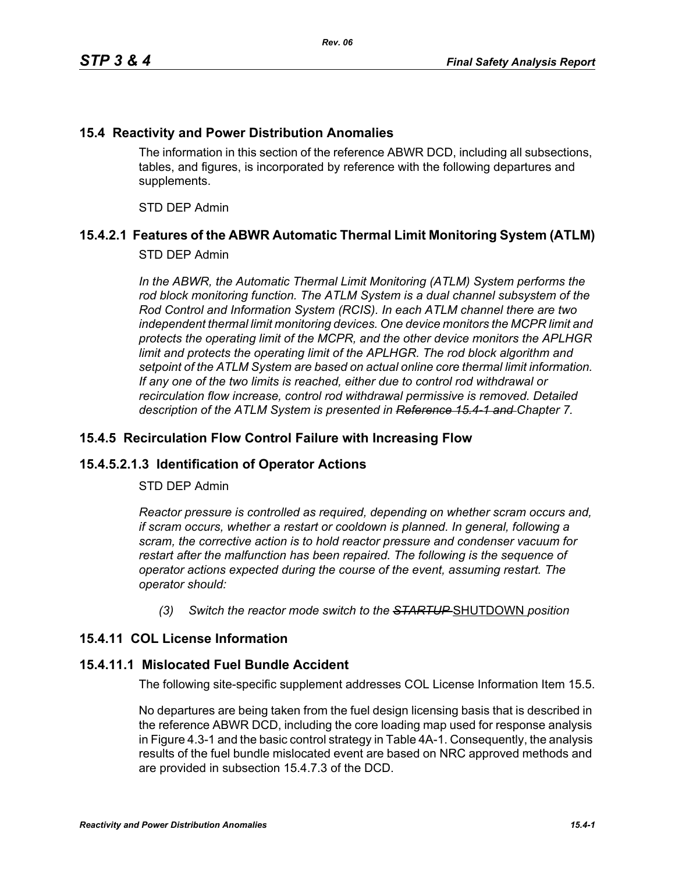### **15.4 Reactivity and Power Distribution Anomalies**

The information in this section of the reference ABWR DCD, including all subsections, tables, and figures, is incorporated by reference with the following departures and supplements.

STD DEP Admin

# **15.4.2.1 Features of the ABWR Automatic Thermal Limit Monitoring System (ATLM)**

#### STD DEP Admin

In the ABWR, the Automatic Thermal Limit Monitoring (ATLM) System performs the *rod block monitoring function. The ATLM System is a dual channel subsystem of the Rod Control and Information System (RCIS). In each ATLM channel there are two independent thermal limit monitoring devices. One device monitors the MCPR limit and protects the operating limit of the MCPR, and the other device monitors the APLHGR*  limit and protects the operating limit of the APLHGR. The rod block algorithm and *setpoint of the ATLM System are based on actual online core thermal limit information. If any one of the two limits is reached, either due to control rod withdrawal or recirculation flow increase, control rod withdrawal permissive is removed. Detailed description of the ATLM System is presented in Reference 15.4-1 and Chapter 7.*

### **15.4.5 Recirculation Flow Control Failure with Increasing Flow**

# **15.4.5.2.1.3 Identification of Operator Actions**

#### STD DEP Admin

*Reactor pressure is controlled as required, depending on whether scram occurs and, if scram occurs, whether a restart or cooldown is planned. In general, following a scram, the corrective action is to hold reactor pressure and condenser vacuum for restart after the malfunction has been repaired. The following is the sequence of operator actions expected during the course of the event, assuming restart. The operator should:*

*(3) Switch the reactor mode switch to the STARTUP* SHUTDOWN *position*

# **15.4.11 COL License Information**

#### **15.4.11.1 Mislocated Fuel Bundle Accident**

The following site-specific supplement addresses COL License Information Item 15.5.

No departures are being taken from the fuel design licensing basis that is described in the reference ABWR DCD, including the core loading map used for response analysis in Figure 4.3-1 and the basic control strategy in Table 4A-1. Consequently, the analysis results of the fuel bundle mislocated event are based on NRC approved methods and are provided in subsection 15.4.7.3 of the DCD.